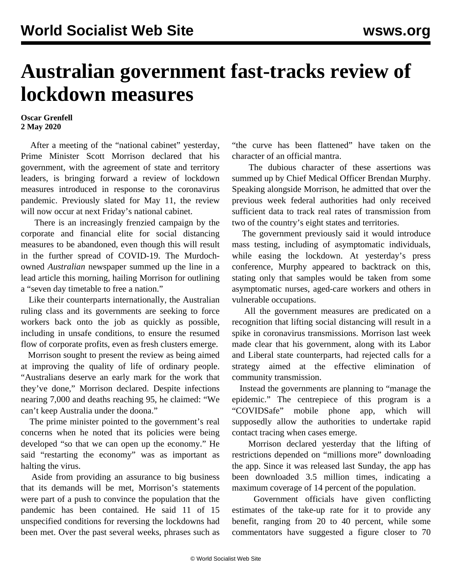## **Australian government fast-tracks review of lockdown measures**

## **Oscar Grenfell 2 May 2020**

 After a meeting of the "national cabinet" yesterday, Prime Minister Scott Morrison declared that his government, with the agreement of state and territory leaders, is bringing forward a review of lockdown measures introduced in response to the coronavirus pandemic. Previously slated for May 11, the review will now occur at next Friday's national cabinet.

 There is an increasingly frenzied campaign by the corporate and financial elite for social distancing measures to be abandoned, even though this will result in the further spread of COVID-19. The Murdochowned *Australian* newspaper summed up the line in a lead article this morning, hailing Morrison for outlining a "seven day timetable to free a nation."

 Like their counterparts internationally, the Australian ruling class and its governments are seeking to force workers back onto the job as quickly as possible, including in unsafe conditions, to ensure the resumed flow of corporate profits, even as fresh clusters emerge.

 Morrison sought to present the review as being aimed at improving the quality of life of ordinary people. "Australians deserve an early mark for the work that they've done," Morrison declared. Despite infections nearing 7,000 and deaths reaching 95, he claimed: "We can't keep Australia under the doona."

 The prime minister pointed to the government's real concerns when he noted that its policies were being developed "so that we can open up the economy." He said "restarting the economy" was as important as halting the virus.

 Aside from providing an assurance to big business that its demands will be met, Morrison's statements were part of a push to convince the population that the pandemic has been contained. He said 11 of 15 unspecified conditions for reversing the lockdowns had been met. Over the past several weeks, phrases such as "the curve has been flattened" have taken on the character of an official mantra.

 The dubious character of these assertions was summed up by Chief Medical Officer Brendan Murphy. Speaking alongside Morrison, he admitted that over the previous week federal authorities had only received sufficient data to track real rates of transmission from two of the country's eight states and territories.

 The government previously said it would introduce mass testing, including of asymptomatic individuals, while easing the lockdown. At yesterday's press conference, Murphy appeared to backtrack on this, stating only that samples would be taken from some asymptomatic nurses, aged-care workers and others in vulnerable occupations.

 All the government measures are predicated on a recognition that lifting social distancing will result in a spike in coronavirus transmissions. Morrison last week made clear that his government, along with its Labor and Liberal state counterparts, had rejected calls for a strategy aimed at the effective elimination of community transmission.

 Instead the governments are planning to "manage the epidemic." The centrepiece of this program is a "COVIDSafe" mobile phone app, which will supposedly allow the authorities to undertake rapid contact tracing when cases emerge.

 Morrison declared yesterday that the lifting of restrictions depended on "millions more" downloading the app. Since it was released last Sunday, the app has been downloaded 3.5 million times, indicating a maximum coverage of 14 percent of the population.

 Government officials have given conflicting estimates of the take-up rate for it to provide any benefit, ranging from 20 to 40 percent, while some commentators have suggested a figure closer to 70